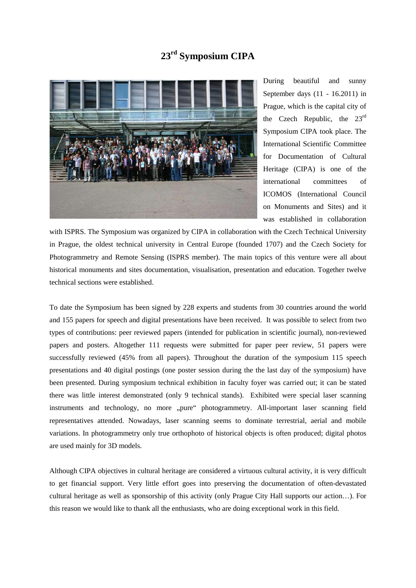## **23rd Symposium CIPA**



During beautiful and sunny September days (11 - 16.2011) in Prague, which is the capital city of the Czech Republic, the  $23^{\text{rd}}$ Symposium CIPA took place. The International Scientific Committee for Documentation of Cultural Heritage (CIPA) is one of the international committees of ICOMOS (International Council on Monuments and Sites) and it was established in collaboration

with ISPRS. The Symposium was organized by CIPA in collaboration with the Czech Technical University in Prague, the oldest technical university in Central Europe (founded 1707) and the Czech Society for Photogrammetry and Remote Sensing (ISPRS member). The main topics of this venture were all about historical monuments and sites documentation, visualisation, presentation and education. Together twelve technical sections were established.

To date the Symposium has been signed by 228 experts and students from 30 countries around the world and 155 papers for speech and digital presentations have been received. It was possible to select from two types of contributions: peer reviewed papers (intended for publication in scientific journal), non-reviewed papers and posters. Altogether 111 requests were submitted for paper peer review, 51 papers were successfully reviewed (45% from all papers). Throughout the duration of the symposium 115 speech presentations and 40 digital postings (one poster session during the the last day of the symposium) have been presented. During symposium technical exhibition in faculty foyer was carried out; it can be stated there was little interest demonstrated (only 9 technical stands). Exhibited were special laser scanning instruments and technology, no more "pure" photogrammetry. All-important laser scanning field representatives attended. Nowadays, laser scanning seems to dominate terrestrial, aerial and mobile variations. In photogrammetry only true orthophoto of historical objects is often produced; digital photos are used mainly for 3D models.

Although CIPA objectives in cultural heritage are considered a virtuous cultural activity, it is very difficult to get financial support. Very little effort goes into preserving the documentation of often-devastated cultural heritage as well as sponsorship of this activity (only Prague City Hall supports our action…). For this reason we would like to thank all the enthusiasts, who are doing exceptional work in this field.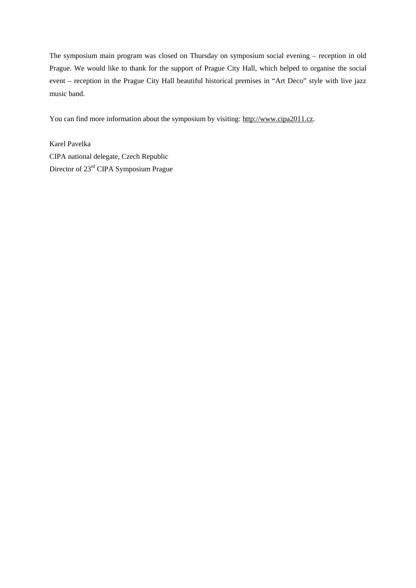The symposium main program was closed on Thursday on symposium social evening – reception in old Prague. We would like to thank for the support of Prague City Hall, which helped to organise the social event – reception in the Prague City Hall beautiful historical premises in "Art Deco" style with live jazz music band.

You can find more information about the symposium by visiting: [http://www.cipa2011.cz.](http://www.cipa2011.cz/)

Karel Pavelka CIPA national delegate, Czech Republic Director of 23rd CIPA Symposium Prague